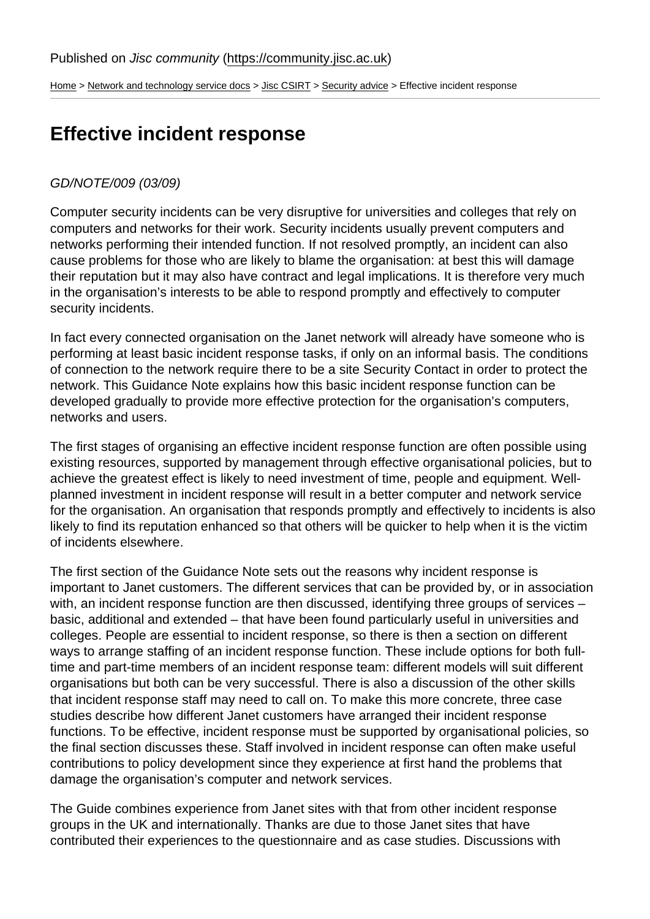[Home](https://community.jisc.ac.uk/) > [Network and technology service docs](https://community.jisc.ac.uk/library/janet-services-documentation) > [Jisc CSIRT](https://community.jisc.ac.uk/library/janet-services-documentation/janet-csirt) > [Security advice](https://community.jisc.ac.uk/library/janet-services-documentation/security-advice) > Effective incident response

## Effective incident response

## GD/NOTE/009 (03/09)

Computer security incidents can be very disruptive for universities and colleges that rely on computers and networks for their work. Security incidents usually prevent computers and networks performing their intended function. If not resolved promptly, an incident can also cause problems for those who are likely to blame the organisation: at best this will damage their reputation but it may also have contract and legal implications. It is therefore very much in the organisation's interests to be able to respond promptly and effectively to computer security incidents.

In fact every connected organisation on the Janet network will already have someone who is performing at least basic incident response tasks, if only on an informal basis. The conditions of connection to the network require there to be a site Security Contact in order to protect the network. This Guidance Note explains how this basic incident response function can be developed gradually to provide more effective protection for the organisation's computers, networks and users.

The first stages of organising an effective incident response function are often possible using existing resources, supported by management through effective organisational policies, but to achieve the greatest effect is likely to need investment of time, people and equipment. Wellplanned investment in incident response will result in a better computer and network service for the organisation. An organisation that responds promptly and effectively to incidents is also likely to find its reputation enhanced so that others will be quicker to help when it is the victim of incidents elsewhere.

The first section of the Guidance Note sets out the reasons why incident response is important to Janet customers. The different services that can be provided by, or in association with, an incident response function are then discussed, identifying three groups of services – basic, additional and extended – that have been found particularly useful in universities and colleges. People are essential to incident response, so there is then a section on different ways to arrange staffing of an incident response function. These include options for both fulltime and part-time members of an incident response team: different models will suit different organisations but both can be very successful. There is also a discussion of the other skills that incident response staff may need to call on. To make this more concrete, three case studies describe how different Janet customers have arranged their incident response functions. To be effective, incident response must be supported by organisational policies, so the final section discusses these. Staff involved in incident response can often make useful contributions to policy development since they experience at first hand the problems that damage the organisation's computer and network services.

The Guide combines experience from Janet sites with that from other incident response groups in the UK and internationally. Thanks are due to those Janet sites that have contributed their experiences to the questionnaire and as case studies. Discussions with